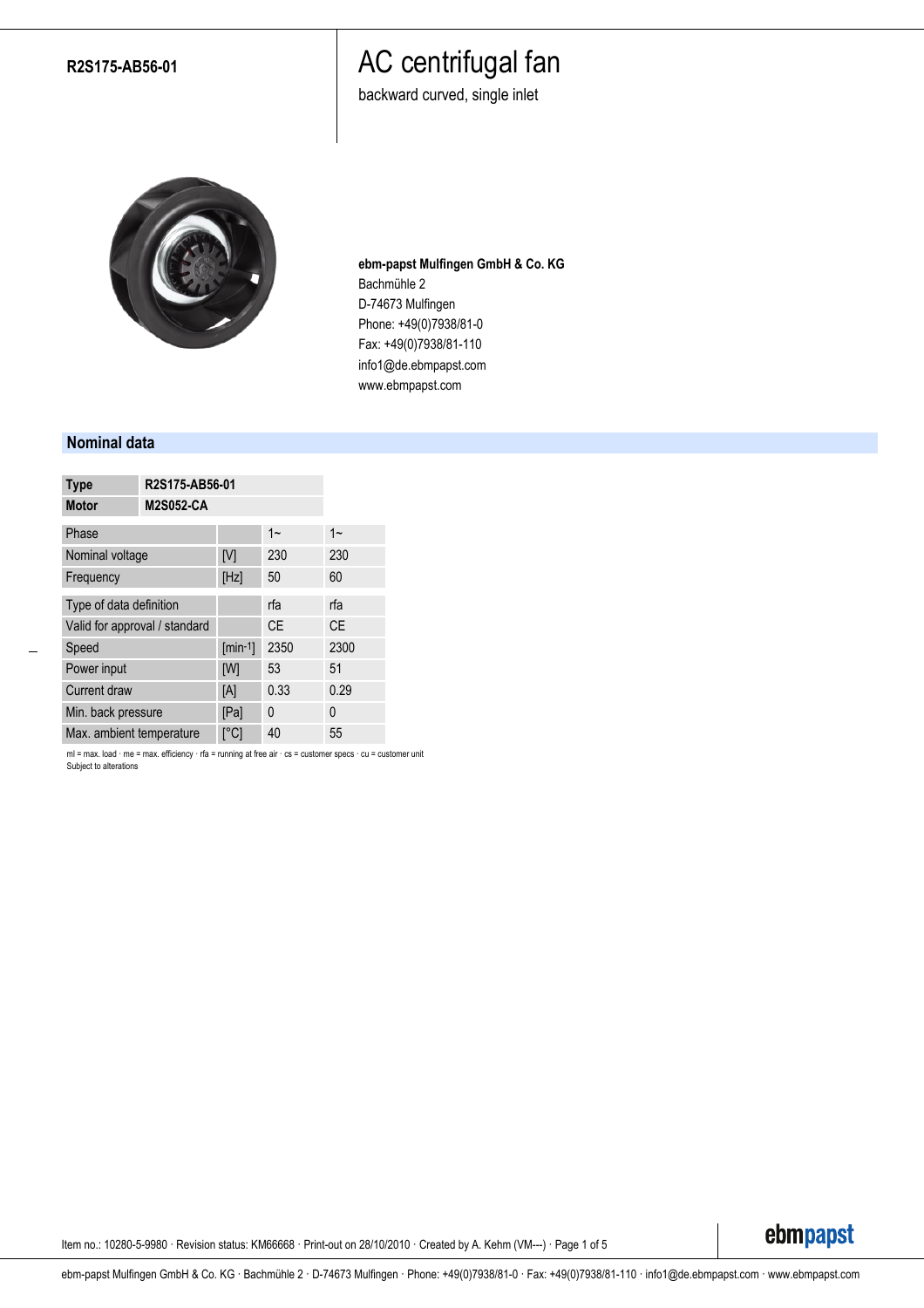### **R2S175-AB56-01**

# AC centrifugal fan

backward curved, single inlet



**ebm-papst Mulfingen GmbH & Co. KG** Bachmühle 2 D-74673 Mulfingen Phone: +49(0)7938/81-0 Fax: +49(0)7938/81-110 info1@de.ebmpapst.com www.ebmpapst.com

### **Nominal data**

| <b>Type</b>                   | R2S175-AB56-01          |           |           |  |  |  |
|-------------------------------|-------------------------|-----------|-----------|--|--|--|
| <b>Motor</b>                  | <b>M2S052-CA</b>        |           |           |  |  |  |
| Phase                         |                         | $1 -$     | $1 -$     |  |  |  |
| Nominal voltage               | [V]                     | 230       | 230       |  |  |  |
| Frequency                     | [Hz]                    | 50        | 60        |  |  |  |
| Type of data definition       |                         | rfa       | rfa       |  |  |  |
| Valid for approval / standard |                         | <b>CE</b> | <b>CE</b> |  |  |  |
| Speed                         | $[min-1]$               | 2350      | 2300      |  |  |  |
| Power input                   | [W]                     | 53        | 51        |  |  |  |
| <b>Current draw</b>           | [A]                     | 0.33      | 0.29      |  |  |  |
| Min. back pressure            | [Pa]                    | 0         | 0         |  |  |  |
| Max. ambient temperature      | $\lceil{^\circ}C\rceil$ | 40        | 55        |  |  |  |

ml = max. load · me = max. efficiency · rfa = running at free air · cs = customer specs · cu = customer unit Subject to alterations

Item no.: 10280-5-9980 · Revision status: KM66668 · Print-out on 28/10/2010 · Created by A. Kehm (VM---) · Page 1 of 5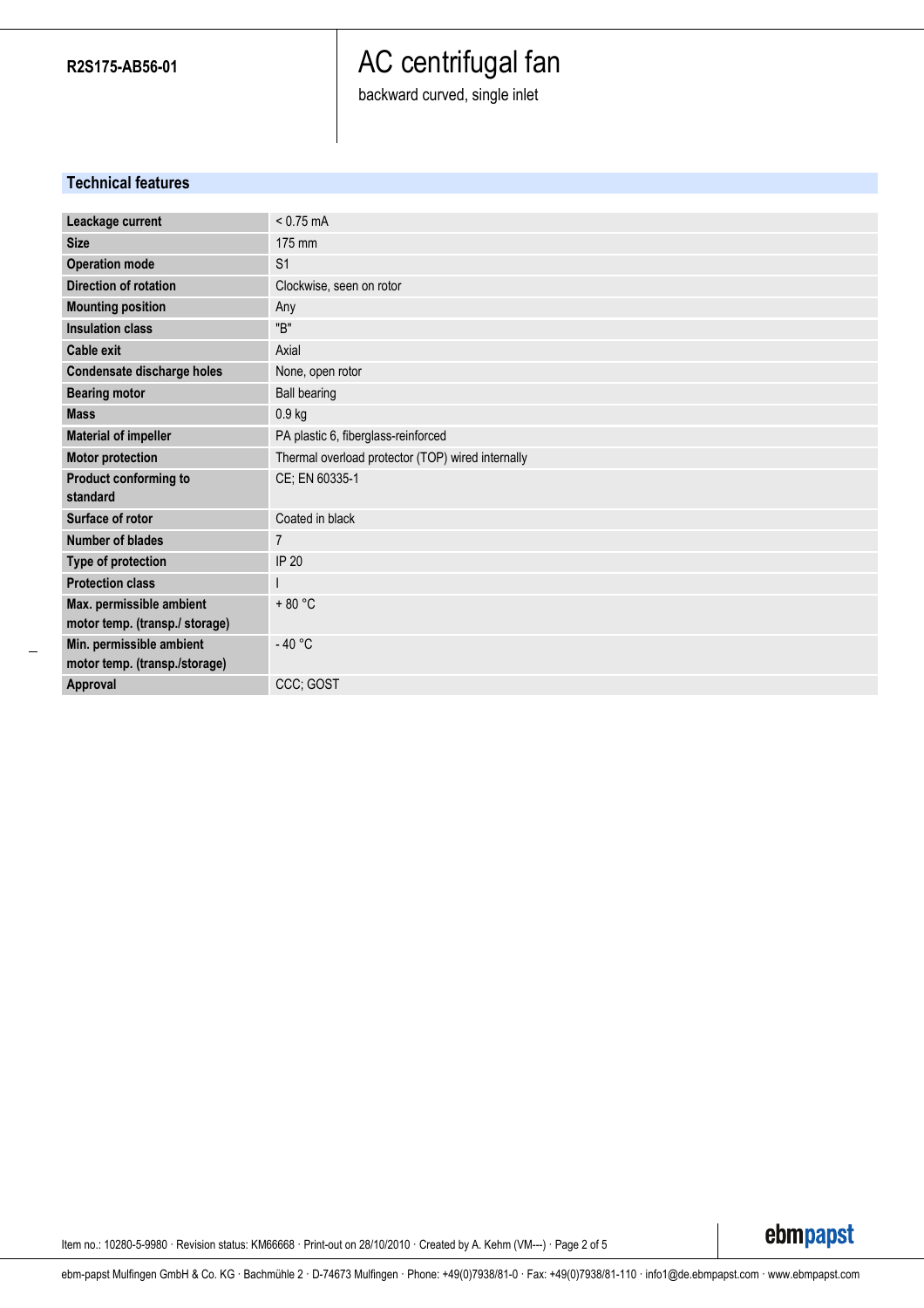**R2S175-AB56-01**

# AC centrifugal fan

backward curved, single inlet

## **Technical features**

| Leackage current                                           | $< 0.75$ mA                                       |  |  |  |  |
|------------------------------------------------------------|---------------------------------------------------|--|--|--|--|
| <b>Size</b>                                                | 175 mm                                            |  |  |  |  |
| <b>Operation mode</b>                                      | S <sub>1</sub>                                    |  |  |  |  |
| <b>Direction of rotation</b>                               | Clockwise, seen on rotor                          |  |  |  |  |
| <b>Mounting position</b>                                   | Any                                               |  |  |  |  |
| <b>Insulation class</b>                                    | "B"                                               |  |  |  |  |
| <b>Cable exit</b>                                          | Axial                                             |  |  |  |  |
| Condensate discharge holes                                 | None, open rotor                                  |  |  |  |  |
| <b>Bearing motor</b>                                       | <b>Ball bearing</b>                               |  |  |  |  |
| <b>Mass</b>                                                | 0.9 <sub>kg</sub>                                 |  |  |  |  |
| <b>Material of impeller</b>                                | PA plastic 6, fiberglass-reinforced               |  |  |  |  |
| <b>Motor protection</b>                                    | Thermal overload protector (TOP) wired internally |  |  |  |  |
| Product conforming to<br>standard                          | CE; EN 60335-1                                    |  |  |  |  |
| Surface of rotor                                           | Coated in black                                   |  |  |  |  |
| <b>Number of blades</b>                                    | 7                                                 |  |  |  |  |
| Type of protection                                         | IP 20                                             |  |  |  |  |
| <b>Protection class</b>                                    |                                                   |  |  |  |  |
| Max. permissible ambient<br>motor temp. (transp./ storage) | $+80 °C$                                          |  |  |  |  |
| Min. permissible ambient<br>motor temp. (transp./storage)  | $-40 °C$                                          |  |  |  |  |
| Approval                                                   | CCC: GOST                                         |  |  |  |  |

Item no.: 10280-5-9980 · Revision status: KM66668 · Print-out on 28/10/2010 · Created by A. Kehm (VM---) · Page 2 of 5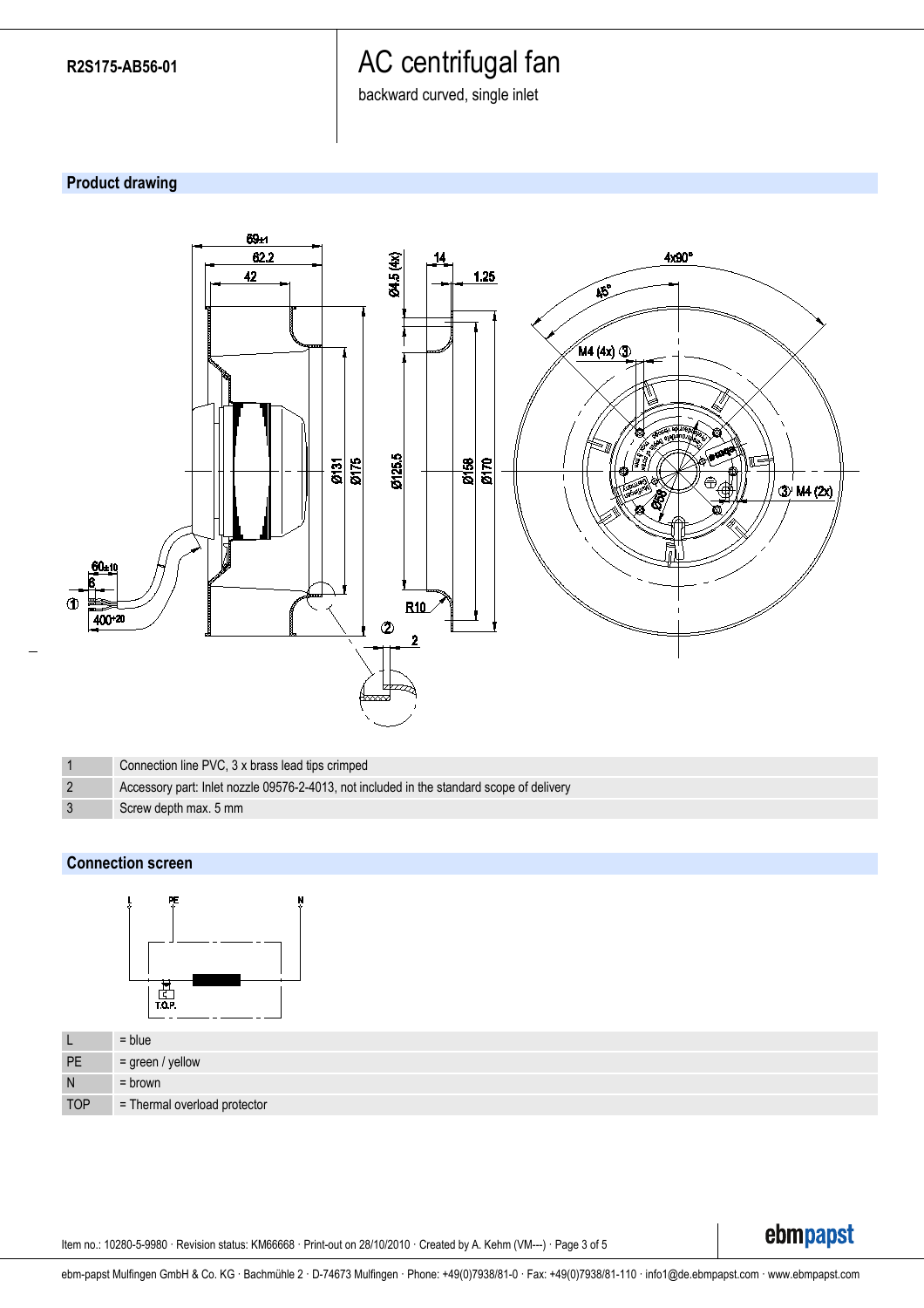# AC centrifugal fan

backward curved, single inlet

# **Product drawing**



|  | Connection line PVC, 3 x brass lead tips crimped                                          |
|--|-------------------------------------------------------------------------------------------|
|  | Accessory part: Inlet nozzle 09576-2-4013, not included in the standard scope of delivery |
|  | Screw depth max. 5 mm                                                                     |

## **Connection screen**



| <b>L</b>   | $=$ blue                     |
|------------|------------------------------|
| PE         | $=$ green / yellow           |
| N          | $=$ brown                    |
| <b>TOP</b> | = Thermal overload protector |

Item no.: 10280-5-9980 · Revision status: KM66668 · Print-out on 28/10/2010 · Created by A. Kehm (VM---) · Page 3 of 5

ebmpapst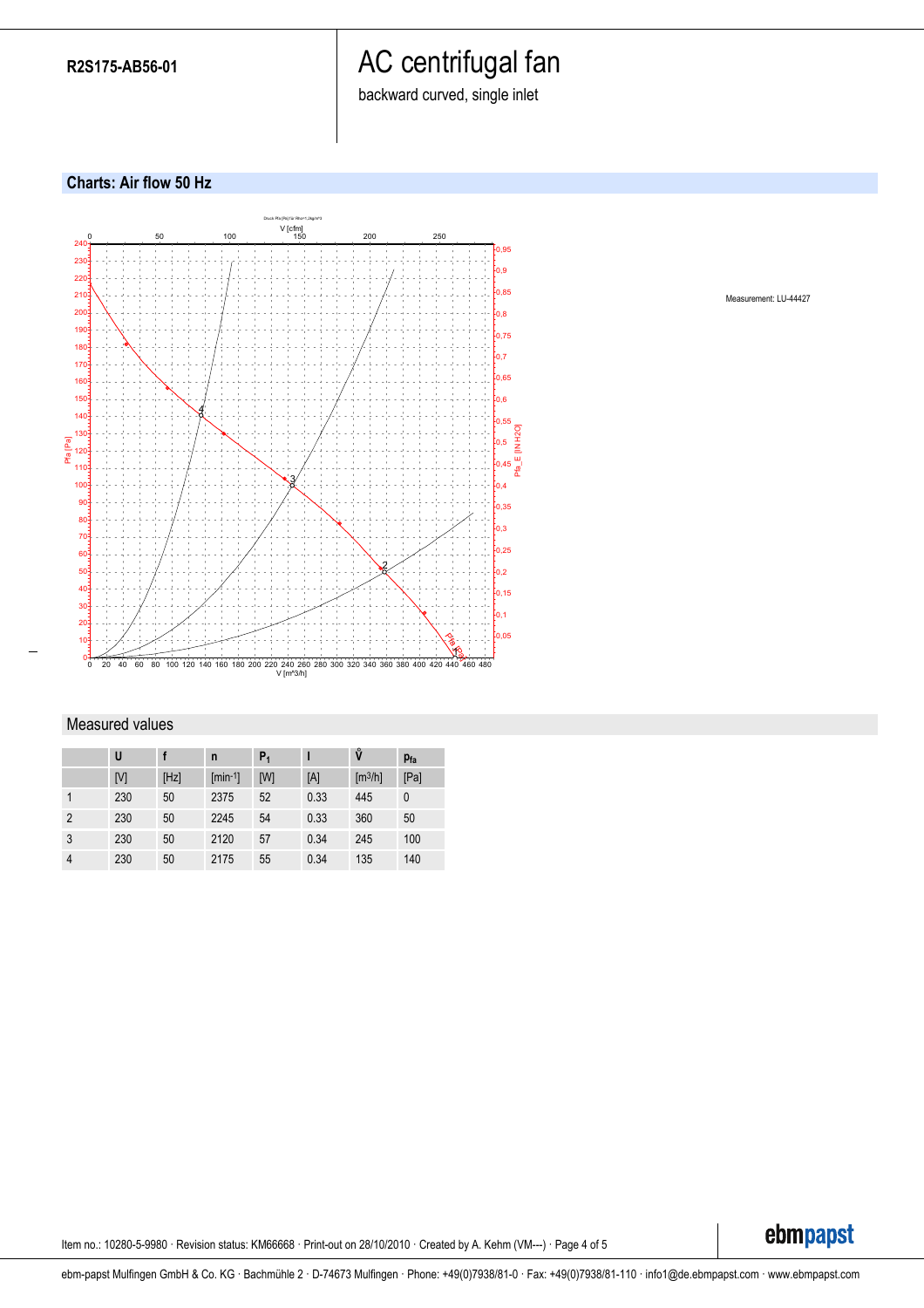# AC centrifugal fan

backward curved, single inlet

### **Charts: Air flow 50 Hz**



#### Measured values

|                | U   |      | n            | $P_1$ |      | ů                            | $p_{fa}$ |
|----------------|-----|------|--------------|-------|------|------------------------------|----------|
|                | [V] | [Hz] | $[min^{-1}]$ | [W]   | [A]  | $\left[\frac{m^3}{h}\right]$ | [Pa]     |
|                | 230 | 50   | 2375         | 52    | 0.33 | 445                          | 0        |
| $\overline{2}$ | 230 | 50   | 2245         | 54    | 0.33 | 360                          | 50       |
| 3              | 230 | 50   | 2120         | 57    | 0.34 | 245                          | 100      |
| $\overline{4}$ | 230 | 50   | 2175         | 55    | 0.34 | 135                          | 140      |

Measurement: LU-44427

Item no.: 10280-5-9980 · Revision status: KM66668 · Print-out on 28/10/2010 · Created by A. Kehm (VM---) · Page 4 of 5

ebmpapst